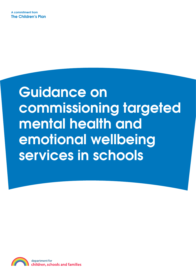# Guidance on commissioning targeted mental health and emotional wellbeing services in schools

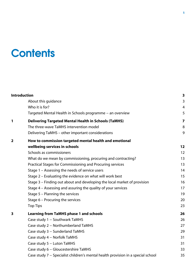## **Contents**

|   | <b>Introduction</b>                                                              | 3                       |  |  |  |
|---|----------------------------------------------------------------------------------|-------------------------|--|--|--|
|   | About this guidance                                                              | 3                       |  |  |  |
|   | Who it is for?                                                                   | 4                       |  |  |  |
|   | Targeted Mental Health in Schools programme - an overview                        | 5                       |  |  |  |
| 1 | <b>Delivering Targeted Mental Health in Schools (TaMHS)</b>                      | $\overline{\mathbf{z}}$ |  |  |  |
|   | The three-wave TaMHS intervention model                                          | $\, 8$                  |  |  |  |
|   | Delivering TaMHS - other important considerations                                | 9                       |  |  |  |
| 2 | How to commission targeted mental health and emotional                           |                         |  |  |  |
|   | wellbeing services in schools                                                    | 12                      |  |  |  |
|   | Schools as commissioners                                                         | 12                      |  |  |  |
|   | What do we mean by commissioning, procuring and contracting?                     | 13                      |  |  |  |
|   | Practical Stages for Commissioning and Procuring services                        | 13                      |  |  |  |
|   | Stage 1 - Assessing the needs of service users                                   | 14                      |  |  |  |
|   | Stage 2 - Evaluating the evidence on what will work best                         | 15                      |  |  |  |
|   | Stage 3 - Finding out about and developing the local market of provision         | 16                      |  |  |  |
|   | Stage 4 - Assessing and assuring the quality of your services                    | 17                      |  |  |  |
|   | Stage 5 - Planning the services                                                  | 19                      |  |  |  |
|   | Stage 6 - Procuring the services                                                 | 20                      |  |  |  |
|   | <b>Top Tips</b>                                                                  | 23                      |  |  |  |
| 3 | <b>Learning from TaMHS phase 1 and schools</b>                                   | 26                      |  |  |  |
|   | Case study 1 - Southwark TaMHS                                                   | 26                      |  |  |  |
|   | Case study 2 - Northumberland TaMHS                                              | 27                      |  |  |  |
|   | Case study 3 - Sunderland TaMHS                                                  | 29                      |  |  |  |
|   | Case study 4 - Norfolk TaMHS                                                     | 31                      |  |  |  |
|   | Case study 5 - Luton TaMHS                                                       | 31                      |  |  |  |
|   | Case study 6 - Gloucestershire TaMHS                                             | 33                      |  |  |  |
|   | Case study 7 - Specialist children's mental health provision in a special school | 35                      |  |  |  |
|   |                                                                                  |                         |  |  |  |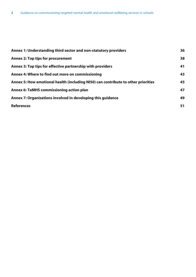| Annex 1: Understanding third sector and non-statutory providers                   | 36 |
|-----------------------------------------------------------------------------------|----|
| <b>Annex 2: Top tips for procurement</b>                                          | 38 |
| Annex 3: Top tips for effective partnership with providers                        | 41 |
| Annex 4: Where to find out more on commissioning                                  | 43 |
| Annex 5: How emotional health (including NI50) can contribute to other priorities | 45 |
| <b>Annex 6: TaMHS commissioning action plan</b>                                   | 47 |
| Annex 7: Organisations involved in developing this guidance                       | 49 |
| <b>References</b>                                                                 | 51 |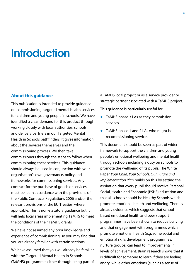## **Introduction**

## **About this guidance**

This publication is intended to provide guidance on commissioning targeted mental health services for children and young people in schools. We have identified a clear demand for this product through working closely with local authorities, schools and delivery partners in our Targeted Mental Health in Schools pathfinders. It gives information about the services themselves and the commissioning process. We then take commissioners through the steps to follow when commissioning these services. This guidance should always be used in conjunction with your organisation's own governance, policy and frameworks for commissioning services. Any contract for the purchase of goods or services must be let in accordance with the provisions of the Public Contracts Regulations 2006 and/or the relevant provisions of the EU Treaties, where applicable. This is non-statutory guidance but it will help local areas implementing TaMHS to meet the conditions of their TaMHS grants.

We have not assumed any prior knowledge and experience of commissioning, so you may find that you are already familiar with certain sections.

We have assumed that you will already be familiar with the Targeted Mental Health in Schools (TaMHS) programme, either through being part of a TaMHS local project or as a service provider or strategic partner associated with a TaMHS project.

This guidance is particularly useful for:

- TaMHS phase 3 LAs as they commission services
- TaMHS phase 1 and 2 LAs who might be recommissioning services

This document should be seen as part of wider framework to support the children and young people's emotional wellbeing and mental health through schools including a duty on schools to promote the wellbeing of its pupils. The White Paper *Your Child, Your Schools, Our Future and Implementation Plan* builds on this by setting the aspiration that every pupil should receive Personal, Social, Health and Economic (PSHE) education and that all schools should be Healthy Schools which promote emotional health and wellbeing. There is already evidence which suggests that schoolbased emotional health and peer support programmes have been shown to reduce bullying and that engagement with programmes which promote emotional health (e.g. some social and emotional skills development programmes; nurture groups) can lead to improvements in levels of achievement. Brain research shows that it is difficult for someone to learn if they are feeling angry, while other emotions (such as a sense of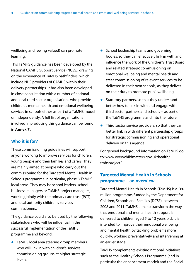wellbeing and feeling valued) can promote learning.

This TaMHS guidance has been developed by the National CAMHS Support Service (NCSS), drawing on the experience of TaMHS pathfinders, which include NHS providers of CAMHS within their delivery partnerships. It has also been developed in close consultation with a number of national and local third sector organisations who provide children's mental health and emotional wellbeing services in schools either as part of a TaMHS model or independently. A full list of organisations involved in producing this guidance can be found in **Annex 7.**

## **Who it is for?**

These commissioning guidelines will support anyone working to improve services for children, young people and their families and carers. They are mainly aimed at people who carry out the commissioning for the Targeted Mental Health in Schools programme in particular, phase 3 TaMHS local areas. They may be school leaders, school business managers or TaMHS project managers, working jointly with the primary care trust (PCT) and local authority children's services commissioners.

The guidance could also be used by the following stakeholders who will be influential in the successful implementation of the TaMHS programme and beyond:

 $\bullet$  TaMHS local area steering group members, who will link in with children's services commissioning groups at higher strategic levels.

- $\bullet$  School leadership teams and governing bodies, so they can effectively link in with and influence the work of the Children's Trust Board and related strategic commissioning on emotional wellbeing and mental health and steer commissioning of relevant services to be delivered in their own schools, as they deliver on their duty to promote pupil wellbeing.
- $\bullet$  Statutory partners, so that they understand better how to link in with and engage with third sector partners and schools − as part of the TaMHS programme and into the future.
- $\bullet$  Third sector service providers, so that they can better link in with different partnership groups for strategic commissioning and operational delivery on this agenda.

For general background information on TaMHS go to: www.everychildmatters.gov.uk/health/ tmhsproject/

## **Targeted Mental Health in Schools programme − an overview**

Targeted Mental Health in Schools (TaMHS) is a £60 million programme, funded by the Department for Children, Schools and Families (DCSF), between 2008 and 2011. TaMHS aims to transform the way that emotional and mental health support is delivered to children aged 5 to 13 years old. It is intended to improve their emotional wellbeing and mental health by tackling problems more quickly, working preventatively and intervening at an earlier stage.

TaMHS complements existing national initiatives such as the Healthy Schools Programme (and in particular the enhancement model) and the Social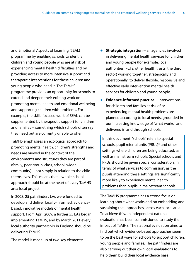and Emotional Aspects of Learning (SEAL) programme by enabling schools to identify children and young people who are at risk of experiencing mental health difficulties and by providing access to more intensive support and therapeutic interventions for those children and young people who need it. The TaMHS programme provides an opportunity for schools to extend and deepen their existing work on promoting mental health and emotional wellbeing and supporting children with problems. For example, the skills-focused work of SEAL can be supplemented by therapeutic support for children and families − something which schools often say they need but are currently unable to offer.

TaMHS emphasises an ecological approach to promoting mental health: children's strengths and needs are viewed in the context of the environments and structures they are part of (family, peer group, class, school, wider community) – not simply in relation to the child themselves. This means that a whole-school approach should be at the heart of every TaMHS area local project.

In 2008, 25 pathfinders LAs were funded to develop and deliver locally-informed, evidencebased, innovative models of mental health support. From April 2009, a further 55 LAs began implementing TaMHS, and by March 2011 every local authority partnership in England should be delivering TaMHS.

The model is made up of two key elements:

- **■** Strategic integration all agencies involved in delivering mental health services for children and young people (for example, local authorities, PCTs, other health trusts, the third sector) working together, strategically and operationally, to deliver flexible, responsive and effective early intervention mental health services for children and young people.
- **■** Evidence-informed practice interventions for children and families at risk of or experiencing mental health problems are planned according to local needs, grounded in our increasing knowledge of 'what works', and delivered in and through schools.

In this document, 'schools' refers to special schools, pupil referral units (PRUs)\* and other settings where children are being educated, as well as mainstream schools. Special schools and PRUs should be given special consideration, in terms of what services to commission, as the pupils attending these settings are significantly more likely to experience mental health problems than pupils in mainstream schools.

The TaMHS programme has a strong focus on learning about what works and on embedding and sustaining the approaches across each local area. To achieve this, an independent national evaluation has been commissioned to study the impact of TaMHS. The national evaluation aims to find out which evidence-based approaches seem to be the best ways for schools to support children, young people and families. The pathfinders are also carrying out their own local evaluations to help them build their local evidence base.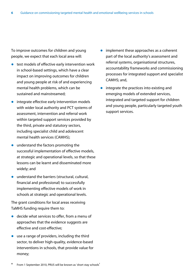To improve outcomes for children and young people, we expect that each local area will:

- $\bullet$  test models of effective early intervention work in school-based settings, which have a clear impact on improving outcomes for children and young people at risk of and experiencing mental health problems, which can be sustained and mainstreamed;
- $\bullet$  integrate effective early intervention models with wider local authority and PCT systems of assessment, intervention and referral work within targeted support services provided by the third, private and statutory sectors, including specialist child and adolescent mental health services (CAMHS);
- $\bullet$  understand the factors promoting the successful implementation of effective models, at strategic and operational levels, so that these lessons can be learnt and disseminated more widely; and
- $\bullet$  understand the barriers (structural, cultural, financial and professional) to successfully implementing effective models of work in schools at strategic and operational levels.

The grant conditions for local areas receiving TaMHS funding require them to:

- $\bullet$  decide what services to offer, from a menu of approaches that the evidence suggests are effective and cost-effective;
- $\bullet$  use a range of providers, including the third sector, to deliver high-quality, evidence-based interventions in schools, that provide value for money;
- $\bullet$  implement these approaches as a coherent part of the local authority's assessment and referral systems, organisational structures, accountability frameworks and commissioning processes for integrated support and specialist CAMHS; and,
- $\bullet$  integrate the practices into existing and emerging models of extended services, integrated and targeted support for children and young people, particularly targeted youth support services.

From 1 September 2010, PRUS will be known as 'short stay schools'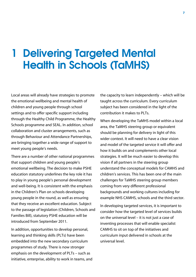## 1 Delivering Targeted Mental Health in Schools (TaMHS)

Local areas will already have strategies to promote the emotional wellbeing and mental health of children and young people through school settings and to offer specific support including through the Healthy Child Programme, the Healthy Schools programme and SEAL. In addition, school collaboration and cluster arrangements, such as through Behaviour and Attendance Partnerships, are bringing together a wide range of support to meet young people's needs.

There are a number of other national programmes that support children and young people's emotional wellbeing. The decision to make PSHE education statutory underlines the key role it has to play in young people's personal development and well-being. It is consistent with the emphasis in the Children's Plan on schools developing young people in the round, as well as ensuring that they receive an excellent education. Subject to the passage of legislation (Children, Schools and Families Bill), statutory PSHE education will be introduced from September 2011.

In addition, opportunities to develop personal, learning and thinking skills (PLTs) have been embedded into the new secondary curriculum programmes of study. There is now stronger emphasis on the development of PLTs – such as initiative, enterprise, ability to work in teams, and the capacity to learn independently – which will be taught across the curriculum. Every curriculum subject has been considered in the light of the contribution it makes to PLTs.

When developing the TaMHS model within a local area, the TaMHS steering group or equivalent should be planning for delivery in light of this wider context. It will need to have a clear vision and model of the targeted service it will offer and how it builds on and complements other local strategies. It will be much easier to develop this vision if all partners in the steering group understand the conceptual models for CAMHS and children's services. This has been one of the main challenges for TaMHS steering group members coming from very different professional backgrounds and working cultures including for example NHS CAMHS, schools and the third sector.

In developing targeted services, it is important to consider how the targeted level of services builds on the universal level – it is not just a case of inventing processes that will enable specialist CAMHS to sit on top of the initiatives and curriculum input delivered in schools at the universal level.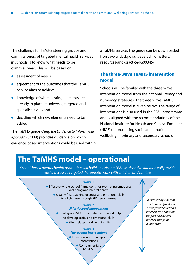The challenge for TaMHS steering groups and commissioners of targeted mental health services in schools is to know what needs to be commissioned. This will be based on:

- assessment of needs
- agreement of the outcomes that the TaMHS service aims to achieve
- knowledge of what existing elements are already in place at universal, targeted and specialist levels, and
- $\bullet$  deciding which new elements need to be added.

The TaMHS guide *Using the Evidence to Inform your Approach* (2008) provides guidance on which evidence-based interventions could be used within a TaMHS service. The guide can be downloaded from: www.dcsf.gov.uk/everychildmatters/ resources-and-practice/IG00345/

## **The three-wave TaMHS intervention model**

Schools will be familiar with the three-wave intervention model from the national literacy and numeracy strategies. The three-wave TaMHS intervention model is given below. The range of interventions is also used in the SEAL programme and is aligned with the recommendations of the National Institute for Health and Clinical Excellence (NICE) on promoting social and emotional wellbeing in primary and secondary schools.

## **The TaMHS model – operational**

*School-based mental health promotion will build on existing SEAL work and in addition will provide easier access to targeted therapeutic work with children and families*

#### **Wave 1**

- **•** Effective whole-school frameworks for promoting emotional wellbeing and mental health
	- Quality first teaching of social and emotional skills to all children through SEAL programme

#### **Wave 2** *Skills-focused interventions*

**•** Small group SEAL for children who need help to develop social and emotional skills ● SEAL-related work with families

#### **Wave 3** *Therapeutic interventions*

**•** Individual and small group interventions • Complementary

to SEAL

*Facilitated by external practitioners (working in integrated children's services) who can train, support and deliver services alongside school staff*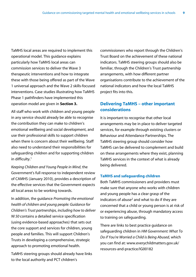TaMHS local areas are required to implement this operational model. This guidance explains particularly how TaMHS local areas can commission services to deliver the Wave 3 therapeutic interventions and how to integrate these with those being offered as part of the Wave 1 universal approach and the Wave 2 skills-focused interventions. Case studies illustrating how TaMHS Phase 1 pathfinders have implemented this operation model are given in **Section 3.**

All staff who work with children and young people in any service should already be able to recognise the contribution they can make to children's emotional wellbeing and social development, and use their professional skills to support children when there is concern about their wellbeing. Staff also need to understand their responsibilities for safeguarding children and for supporting children in difficulty.<sup>1</sup>

*Keeping Children and Young People in Mind*, the Government's full response to independent review of CAMHS (January 2010), provides a description of the effective services that the Government expects all local areas to be working towards.

In addition, the guidance *Promoting the emotional health of children and young people: Guidance for Children's Trust partnerships, including how to deliver NI 50* contains a detailed service specification (using evidence-based approaches) that sets out the core support and services for children, young people and families. This will support Children's Trusts in developing a comprehensive, strategic approach to promoting emotional health.

TaMHS steering groups should already have links to the local authority and PCT children's

commissioners who report through the Children's Trust Board on the achievement of these national indicators. TaMHS steering groups should also be familiar, through the Children's Trust partnership arrangements, with how different partner organisations contribute to the achievement of the national indicators and how the local TaMHS project fits into this.

## **Delivering TaMHS – other important considerations**

It is important to recognise that other local arrangements may be in place to deliver targeted services, for example through existing clusters or Behaviour and Attendance Partnerships. The TaMHS steering group should consider how TaMHS can be delivered to complement and build on these arrangements where they exist, planning TaMHS services in the context of what is already being delivered.

## **TaMHS and safeguarding children**

Both TaMHS commissioners and providers must make sure that anyone who works with children and young people has a clear grasp of the indicators of abuse<sup>2</sup> and what to do if they are concerned that a child or young person is at risk of or experiencing abuse, through mandatory access to training on safeguarding.

There are links to best practice guidance on safeguarding children in *HM Government: What To Do if You're Worried a Child is Being Abused*, which you can find at: www.everychildmatters.gov.uk/ resources-and-practice/IG00182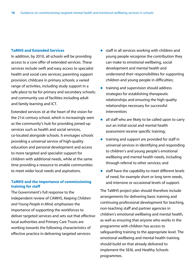#### **TaMHS and Extended Services**

In addition, by 2010, all schools will be providing access to a core offer of extended services. These services include swift and easy access to specialist health and social care services; parenting support provision; childcare in primary schools; a varied range of activities, including study support in a safe place to be for primary and secondary schools; and community use of facilities including adult and family learning and ICT.

Extended services sit at the heart of the vision for the 21st century school, which is increasingly seen as the community's hub for providing joined-up services such as health and social services, co-located alongside schools. It envisages schools providing a universal service of high-quality education and personal development and access to more targeted and specialist support for children with additional needs, while at the same time providing a resource to enable communities to meet wider local needs and aspirations.

## **TaMHS and the importance of commissioning training for staff**

The Government's full response to the independent review of CAMHS, *Keeping Children and Young People in Mind,* emphasises the importance of supporting the workforces to deliver targeted services and sets out that effective local authorities and Primary Care Trusts are working towards the following characteristics of effective practice in delivering targeted services:

- $\bullet$  staff in all services working with children and young people recognise the contribution they can make to emotional wellbeing, social development and mental health and understand their responsibilities for supporting children and young people in difficulties;
- $\bullet$  training and supervision should address strategies for establishing therapeutic relationships and ensuring the high quality relationships necessary for successful intervention;
- $\bullet$  all staff who are likely to be called upon to carry out an initial social and mental health assessment receive specific training;
- training and support are provided for staff in universal services in identifying and responding to children's and young people's emotional wellbeing and mental health needs, including through referral to other services; and
- $\bullet$  staff have the capability to meet different levels of need, for example short or long term needs, and intensive or occasional levels of support.

The TaMHS project plan should therefore include arrangements for delivering basic training and continuing professional development for teaching, non-teaching staff and partner agencies in children's emotional wellbeing and mental health, as well as ensuring that anyone who works in the programme with children has access to safeguarding training to the appropriate level. The emotional wellbeing and mental health training should build on that already delivered to implement the SEAL and Healthy Schools programmes.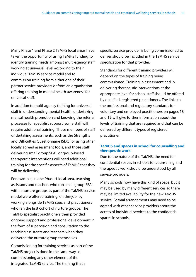Many Phase 1 and Phase 2 TaMHS local areas have taken the opportunity of using TaMHS funding to identify training needs amongst multi-agency staff working at universal level according to their individual TaMHS service model and to commission training from either one of their partner service providers or from an organisation offering training in mental health awareness for universal staff.

In addition to multi-agency training for universal staff in understanding mental health, undertaking mental health promotion and knowing the referral processes for specialist support, some staff will require additional training. Those members of staff undertaking assessments, such as the Strengths and Difficulties Questionnaire (SDQ) or using other locally agreed assessment tools, and those staff delivering small group SEAL or group-based therapeutic interventions will need additional training for the specific aspects of TaMHS that they will be delivering.

For example, in one Phase 1 local area, teaching assistants and teachers who run small group SEAL within nurture groups as part of the TaMHS service model were offered training 'on the-job' by working alongside TaMHS specialist practitioners who ran the first cohort of nurture groups. The TaMHS specialist practitioners then provided ongoing support and professional development in the form of supervision and consultation to the teaching assistants and teachers when they delivered the nurture group themselves.

Commissioning for training services as part of the TaMHS project is done in the same way as commissioning any other element of the integrated TaMHS service. The training that a

specific service provider is being commissioned to deliver should be included in the TaMHS service specification for that provider.

Standards for different training providers will depend on the types of training being commissioned. Training in assessment and in delivering therapeutic interventions at the appropriate level for school staff should be offered by qualified, registered practitioners. The links to the professional and regulatory standards for voluntary and employed practitioners on pages 18 and 19 will give further information about the levels of training that are required and that can be delivered by different types of registered practitioner.

## **TaMHS and spaces in school for counselling and therapeutic work**

Due to the nature of the TaMHS, the need for confidential spaces in schools for counselling and therapeutic work should be understood by all service providers.

Many schools now have this kind of space, but it may be used by many different services so there may be limited availability for the new TaMHS service. Formal arrangements may need to be agreed with other service providers about the access of individual services to the confidential spaces in schools.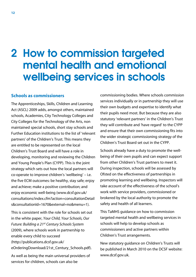## 2 How to commission targeted mental health and emotional wellbeing services in schools

## **Schools as commissioners**

The Apprenticeships, Skills, Children and Learning Act (ASCL) 2009 adds, amongst others, maintained schools, Academies, City Technology Colleges and City Colleges for the Technology of the Arts, non maintained special schools, short stay schools and Further Education institutions to the list of 'relevant partners' of the Children's Trust. This means they are entitled to be represented on the local Children's Trust Board and will have a role in developing, monitoring and reviewing the Children and Young People's Plan (CYPP). This is the joint strategy which sets out how the local partners will co-operate to improve children's 'wellbeing' – i.e. the five ECM outcomes: be healthy, stay safe; enjoy and achieve; make a positive contribution; and enjoy economic well-being (www.dcsf.gov.uk/ consultations/index.cfm?action=consultationDetail s&consultationId=1670&external=no&menu=1).

This is consistent with the role for schools set out in the white paper, *Your Child, Your Schools, Our Future: Building a 21st Century Schools System* (2009), where schools work in partnership to enable every child to succeed (http://publications.dcsf.gov.uk/ eOrderingDownload/21st Century Schools.pdf).

As well as being the main universal providers of services for children, schools can also be

commissioning bodies. Where schools commission services individually or in partnership they will use their own budgets and expertise to identify what their pupils need most. But because they are also statutory 'relevant partners' in the Children's Trust they will contribute and 'have regard' to the CYPP and ensure that their own commissioning fits into the wider strategic commissioning strategy of the Children's Trust Board set out in the CYPP.

Schools already have a duty to promote the wellbeing of their own pupils and can expect support from other Children's Trust partners to meet it. During inspection, schools will be assessed by Ofsted on the effectiveness of partnerships in promoting learning and wellbeing. Inspectors will take account of the effectiveness of the school's work with service providers, commissioned or brokered by the local authority to promote the safety and health of all learners.

This TaMHS guidance on how to commission targeted mental health and wellbeing services in schools will help to develop schools as commissioners and active partners within Children's Trust arrangements.

New statutory guidance on Children's Trusts will be published in March 2010 on the DCSF website: www.dcsf.gov.uk.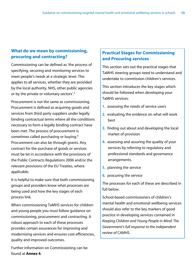## **What do we mean by commissioning, procuring and contracting?**

Commissioning can be defined as 'the process of specifying, securing and monitoring services to meet people's needs at a strategic level. This applies to all services, whether they are provided by the local authority, NHS, other public agencies or by the private or voluntary sectors'.3

Procurement is not the same as commissioning. Procurement is defined as acquiring goods and services from third party suppliers under legally binding contractual terms where all the conditions necessary to form a legally binding contract have been met. The process of procurement is sometimes called purchasing or buying.4 Procurement can also be through grants. Any contract for the purchase of goods or services must be let in accordance with the provisions of the Public Contracts Regulations 2006 and/or the relevant provisions of the EU Treaties, where applicable.

It is helpful to make sure that both commissioning groups and providers know what processes are being used and how the key stages of each process link.

When commissioning TaMHS services for children and young people you must follow guidance on commissioning, procurement and contracting. A robust approach to each of these processes provides certain assurances for improving and modernising services and ensures cost efficiencies, quality and improved outcomes.

Further information on Commissioning can be found at **Annex 4**.

## **Practical Stages for Commissioning and Procuring services**

This section sets out the practical stages that TaMHS steering groups need to understand and undertake to commission children's services.

This section introduces the key stages which should be followed when developing your TaMHS services:

- **1.**  assessing the needs of service users
- **2.**  evaluating the evidence on what will work best
- **3.**  finding out about and developing the local market of provision
- **4.**  assessing and assuring the quality of your services by referring to regulatory and professional standards and governance arrangements.
- **5.**  planning the service
- **6.**  procuring the service

The processes for each of these are described in full below.

School-based commissioners of children's mental health and emotional wellbeing services should also refer to the key markers of good practice in developing services contained in *Keeping Children and Young People in Mind: The Government's full response to the independent review of CAMHS*.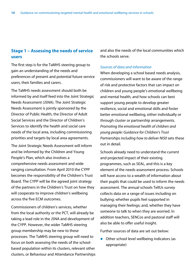## **Stage 1 – Assessing the needs of service users**

The first step is for the TaMHS steering group to gain an understanding of the needs and preferences of present and potential future service users, their families and carers.

The TaMHS needs assessment should both be informed by and itself feed into the Joint Strategic Needs Assessment (JSNA). The Joint Strategic Needs Assessment is jointly sponsored by the Director of Public Health, the Director of Adult Social Services and the Director of Children's Services to identify the health and social care needs of the local area, including commissioning priorities and targets by local area agreements.

The Joint Strategic Needs Assessment will inform and be informed by the Children and Young People's Plan, which also involves a comprehensive needs assessment and wide ranging consultation. From April 2010 the CYPP becomes the responsibility of the Children's Trust Board. The CYPP will be the agreed joint strategy of the partners in the Children's Trust on how they will cooperate to improve children's wellbeing across the five ECM outcomes.

Commissioners of children's services, whether from the local authority or the PCT, will already be taking a lead role in the JSNA and development of the CYPP. However, the wider TaMHS steering group membership may be new to these processes. The TaMHS steering group will need to focus on both assessing the needs of the schoolbased population within its clusters, relevant other clusters, or Behaviour and Attendance Partnerships and also the needs of the local communities which the schools serve.

## *Sources of data and information*

When developing a school based needs analysis, commissioners will want to be aware of the range of risk and protective factors that can impact on children and young people's emotional wellbeing and mental health, and how schools can best support young people to develop greater resilience, social and emotional skills and foster better emotional wellbeing, either individually or through cluster or partnership arrangements. *Promoting the emotional health of children and young people: Guidance for Children's Trust Partnerships including how to deliver NI50* sets these out in detail.

Schools already need to understand the current and projected impact of their existing programmes, such as SEAL, and this is a key element of the needs assessment process. Schools will have access to a wealth of information about their pupils that could be used to inform the needs assessment. The annual schools TellUs survey collects data on a range of issues including on bullying; whether pupils feel supported in managing their feelings; and, whether they have someone to talk to when they are worried. In addition teachers, SENCos and pastoral staff will also be able to offer useful insight.

Further sources of data are set out below:

 $\bullet$  Other school level wellbeing indicators (as appropriate)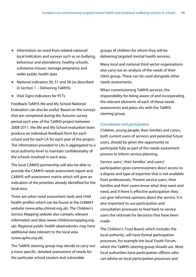- Information on need from related national/ local indicators and surveys such as on bullying, behaviour and attendance, healthy schools, substance misuse, teenage pregnancy and wider public health data
- $\bullet$  National indicators 50, 51 and 58 (as described in Section 1 – Delivering TaMHS)
- $\bullet$  Vital Signs indicators for PCTs

Feedback TaMHS Me and My School National Evaluation can also be useful. Based on the surveys that are completed during the Autumn survey period each year of the TaMHS project between 2008-2011, the Me and My School evaluation team produce an individual feedback form for each school and for each LA for each year of the project. The information provided to LAs is aggregated to a local authority-level to maintain confidentiality of the schools involved in each area.

The local CAMHS partnership will also be able to provide the CAMHS needs assessment report and CAMHS self-assessment matrix which will give an indication of the priorities already identified for the local area.

There are other need assessment tools and child health profiles which can be found at the CHIMAT website (www.atlas.chimat.org.uk). The Children's Service Mapping website also contains relevant information and data (www.childrensmapping.org. uk). Regional public health observatories may have additional data relevant to the local area (www.apho.org.uk).

The TaMHS steering group may decide to carry out a more specific, detailed assessment of needs for the particular school clusters and vulnerable

groups of children for whom they will be delivering targeted mental health services.

Many local and national third sector organisations also carry out an analysis of the needs of their client group. These can be used alongside other needs assessments.

When commissioning TaMHS services, the responsibility for being aware of and incorporating the relevant elements of each of these needs assessments and plans sits with the TaMHS steering group.

## *Consultation and participation*

Children, young people, their families and carers, both current users of services and potential future users, should be given the opportunity to participate fully as part of the needs assessment process to inform service planning.

Service users', their families' and carers' participation gives commissioners direct access to a degree and type of expertise that is not available from professionals. Present service users, their families and their carers know what they want and need, and if there is effective participation they can give informed opinions about the service. It is also important to use participation and consultation processes to feed back to service users the rationale for decisions that have been made.

The Children's Trust Board, which includes the local authority, will have formal participation processes, for example the local Youth Forum, which the TaMHS steering group should use. Most local authorities have participation officers who can advise on local participation processes and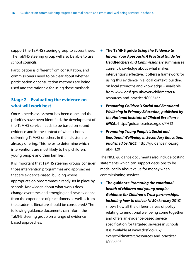support the TaMHS steering group to access these. The TaMHS steering group will also be able to use school councils.

Participation is different from consultation, and commissioners need to be clear about whether participation or consultation methods are being used and the rationale for using these methods.

## **Stage 2 – Evaluating the evidence on what will work best**

Once a needs assessment has been done and the priorities have been identified, the development of the TaMHS service needs to be based on sound evidence and in the context of what schools delivering TaMHS or others in their cluster are already offering. This helps to determine which interventions are most likely to help children, young people and their families.

It is important that TaMHS steering groups consider those intervention programmes and approaches that are evidence-based, building where appropriate on programmes already set in place by schools. Knowledge about what works does change over time, and emerging and new evidence from the experience of practitioners as well as from the academic literature should be considered.<sup>5</sup> The following guidance documents can inform the TaMHS steering group on a range of evidence based approaches:

- z **The TaMHS guide** *Using the Evidence to Inform Your Approach: A Practical Guide for Headteachers and Commissioners* summarises current knowledge about what makes interventions effective. It offers a framework for using this evidence in a local context, building on local strengths and knowledge − available from www.dcsf.gov.uk/everychildmatters/ resources-and-practice/IG00345/.
- **Promoting Children's Social and Emotional** *Wellbeing in Primary Education, published by the National Institute of Clinical Excellence (NICE):* http://guidance.nice.org.uk/PH12
- z *Promoting Young People's Social and Emotional Wellbeing in Secondary Education, published by NICE:* http://guidance.nice.org. uk/PH20

The NICE guidance documents also include costing statements which can support decisions to be made locally about value for money when commissioning services.

**•** The quidance *Promoting the emotional health of children and young people: Guidance for Children's Trust partnerships, including how to deliver NI 50* (January 2010) shows how all the different areas of policy relating to emotional wellbeing come together and offers an evidence-based service specification for targeted services in schools. It is available at www.dcsf.gov.uk/ everychildmatters/resources-and-practice/ IG00639/.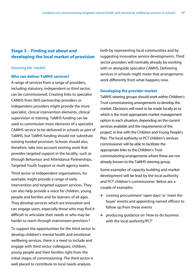## **Stage 3 – Finding out about and developing the local market of provision**

## *Assessing the 'market'*

## **Who can deliver TaMHS services?**

A range of services from a range of providers, including statutory, independent or third sector, can be commissioned. Creating links to specialist CAMHS from NHS partnership providers or independent providers might provide the more specialist, clinical intervention elements, clinical supervision or training. TaMHS funding can be used to commission more elements of a specialist CAMHS service to be delivered in schools as part of TaMHS, but TaMHS funding should not substitute existing funded provision. Schools should also, therefore, take into account existing work that provides targeted support in the locality, such as through Behaviour and Attendance Partnerships, Targeted Youth Support or multi agency teams.

Third sector or independent organisations, for example, might provide a range of early intervention and targeted support services. They can also help provide a voice for children, young people and families and for learners of all ages. They develop services which are innovative and can engage users, especially those who may find it difficult to articulate their needs or who may be harder to reach through mainstream provision.<sup>6</sup>

To support the opportunities for the third sector to develop children's mental health and emotional wellbeing services, there is a need to include and engage with third sector colleagues, children, young people and their families right from the initial stages of commissioning. The third sector is well placed to contribute to local needs analysis,

both by representing local communities and by suggesting innovative service developments. Third sector providers will normally already be working with or alongside specialist CAMHS. Delivering services in schools might mean that arrangements work differently from what happens now.

## **Developing the provider market**

TaMHS steering groups should work within Children's Trust commissioning arrangements to develop the market. Decisions will need to be made locally as to which is the most appropriate market management option in each situation, depending on the current services available and the requirements of the project, in line with the Children and Young People's Plan. The local authority or PCT children's services commissioner will be able to facilitate the appropriate links to the Children's Trust commissioning arrangements where these are not already known to the TaMHS steering group.

Some examples of capacity building and market development will be lead by the local authority and PCT children's commissioner. Below are a couple of examples:

- running procurement 'open days' or 'meet the buyer' events and appointing named officers to follow up from these events
- producing guidance on 'How to do business with the local authority/PCT'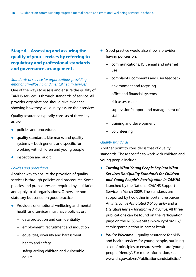## **Stage 4 – Assessing and assuring the quality of your services by referring to regulatory and professional standards and governance arrangements.**

## *Standards of service for organisations providing emotional wellbeing and mental health services*

One of the ways to assess and ensure the quality of TaMHS services is through standards of service. All provider organisations should give evidence showing how they will quality assure their services.

Quality assurance typically consists of three key areas:

- policies and procedures
- quality standards, kite marks and quality systems – both generic and specific for working with children and young people
- $\bullet$  inspection and audit.

## *Policies and procedures*

Another way to ensure the provision of quality services is through policies and procedures. Some policies and procedures are required by legislation, and apply to all organisations. Others are nonstatutory but based on good practice.

- $\bullet$  Providers of emotional wellbeing and mental health and services must have policies on:
	- − data protection and confidentiality
	- − employment, recruitment and induction
	- − equalities, diversity and harassment
	- − health and safety
	- − safeguarding children and vulnerable adults.
- Good practice would also show a provider having policies on:
	- − communications, ICT, email and internet use
	- − complaints, comments and user feedback
	- environment and recycling
	- − office and financial systems
	- − risk assessment
	- − supervision/support and management of staff
	- − training and development
	- − volunteering.

## *Quality standards*

Another point to consider is that of quality standards. Those specific to work with children and young people include:

- **Turning What Young People Say into What** *Services Do: Quality Standards for Children and Young People's Participation in CAMHS –*  launched by the National CAMHS Support Service in March 2009*.* The standards are supported by two other important resources: An *Interactive Annotated Bibliography* and a *Literature Review for Informed Practice*. All three publications can be found on the Participation page on the NCSS website (www.cypf.org.uk/ camhs/participation-in-camhs.html)
- *You're Welcome* − quality assurance for NHS and health services for young people, outlining a set of principles to ensure services are 'young people-friendly'. For more information, see: www.dh.gov.uk/en/Publicationsandstatistics/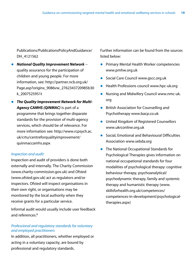Publications/PublicationsPolicyAndGuidance/ DH 4121562

- z *National Quality Improvement Network* − quality assurance for the participation of children and young people. For more information, see: http://partner.ncb.org.uk/ Page.asp?originx\_9086vw\_2762343720985b30 k\_2007525951t
- **The Quality Improvement Network for Multi-***Agency CAMHS (QINMAC)* is part of a programme that brings together disparate standards for the provision of multi-agency services, which should be of relevance. For more information see: http://www.rcpsych.ac. uk/crtu/centreforqualityimprovement/ quinmaccamhs.aspx

#### *Inspection and audit*

Inspection and audit of providers is done both externally and internally. The Charity Commission (www.charity-commission.gov.uk) and Ofsted (www.ofsted.gov.uk) act as regulators and/or inspectors. Ofsted will inspect organisations in their own right, or organisations may be monitored by the local authority when they receive grants for a particular service.

Informal audit would usually include user feedback and references.<sup>8</sup>

## *Professional and regulatory standards for voluntary and employed practitioners*

In addition, all practitioners, whether employed or acting in a voluntary capacity, are bound by professional and regulatory standards.

Further information can be found from the sources listed below:

- **Primary Mental Health Worker competencies** www.pmhw.org.uk
- Social Care Council www.gscc.org.uk
- $\bullet$  Health Professions council www.hpc-uk.org
- Nursing and Midwifery Council www.nmc-uk. org
- **•** British Association for Counselling and Psychotherapy www.bacp.co.uk
- **•** United Kingdom of Registered Counsellors www.ukrconline.org.uk
- Social, Emotional and Behavioural Difficulties Association www.sebda.org
- The National Occupational Standards for Psychological Therapies gives information on national occupational standards for four modalities of psychological therapy: cognitive behaviour therapy, psychoanalytical/ psychodynamic therapy, family and systemic therapy and humanistic therapy (www. skillsforhealth.org.uk/competences/ competences-in-development/psychologicaltherapies.aspx)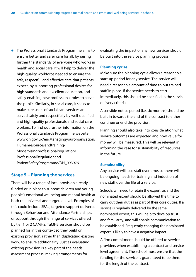• The Professional Standards Programme aims to ensure better and safer care for all, by raising further the standards of everyone who works in health and social care. It will help to deliver the high-quality workforce needed to ensure the safe, respectful and effective care that patients expect, by supporting professional desires for high standards and excellent education, and safely enabling new professional roles to serve the public. Similarly, in social care, it seeks to make sure users of social care services are served safely and respectfully by well-qualified and high-quality professionals and social care workers. To find out further information on the Professional Standards Programme website: www.dh.gov.uk/en/Managingyourorganisation/ Humanresourcesandtraining/ Modernisingprofessionalregulation/ ProfessionalRegulationand PatientSafetyProgramme/DH\_093976

## **Stage 5 – Planning the services**

There will be a range of local provision already funded or in place to support children and young people's emotional wellbeing and mental health at both the universal and targeted level. Examples of this could include SEAL, targeted support delivered through Behaviour and Attendance Partnerships, or support through the range of services offered by tier 1 or 2 CAMHS. TaMHS services should be planned for in this context so they build on existing provision, rather than duplicating existing work, to ensure additionality. Just as evaluating existing provision is a key part of the needs assessment process, making arrangements for

evaluating the impact of any new services should be built into the service planning process.

## **Planning cycles**

Make sure the planning cycle allows a reasonable start-up period for any service. The service will need a reasonable amount of time to put trained staff in place. If the service needs to start immediately, this should be specified in the service delivery criteria.

A sensible notice period (i.e. six months) should be built in towards the end of the contract to either continue or end the provision.

Planning should also take into consideration what service outcomes are expected and how value for money will be measured. This will be relevant in informing the case for sustainability of resources in the future.

#### **Sustainability**

Any service will lose staff over time, so there will be ongoing needs for training and induction of new staff over the life of a service.

Schools will need to retain the expertise, and the nominated expert should be allowed the time to carry out their duties as part of their core duties. If a service is regularly delivered by the same nominated expert, this will help to develop trust and familiarity, and will enable communication to be established. Frequently changing the nominated expert is likely to have a negative impact.

A firm commitment should be offered to service providers when establishing a contract and service level agreement. The school must ensure that the funding for the service is guaranteed to be there for the length of the contract.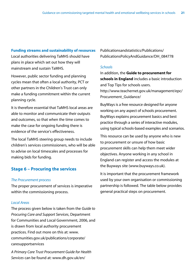## **Funding streams and sustainability of resources**

Local authorities delivering TaMHS should have plans in place which set out how they will mainstream and sustain TaMHS.

However, public sector funding and planning cycles mean that often a local authority, PCT or other partners in the Children's Trust can only make a funding commitment within the current planning cycle.

It is therefore essential that TaMHS local areas are able to monitor and communicate their outputs and outcomes, so that when the time comes to make the case for ongoing funding there is evidence of the service's effectiveness.

The local TaMHS steering group needs to include children's services commissioners, who will be able to advise on local timescales and processes for making bids for funding.

## **Stage 6 – Procuring the services**

## *The Procurement process*

The proper procurement of services is imperative within the commissioning process.

## *Local Areas*

The process given below is taken from the *Guide to Procuring Care and Support Services*, Department for Communities and Local Government, 2006, and is drawn from local authority procurement practices. Find out more on this at: www. communities.gov.uk/publications/corporate/ caresupportservices

*A Primary Care Trust Procurement Guide for Health Services* can be found at: www.dh.gov.uk/en/

Publicationsandstatistics/Publications/ PublicationsPolicyAndGuidance/DH\_084778

## *Schools*

In addition, the **Guide to procurement for schools in England** includes a basic introduction and Top Tips for schools users. http://www.teachernet.gov.uk/management/epc/ Procurement\_Guidance/

BuyWays is a free resource designed for anyone working on any aspect of schools procurement. BuyWays explains procurement basics and best practice through a series of interactive modules, using typical schools-based examples and scenarios.

This resource can be used by anyone who is new to procurement or unsure of how basic procurement skills can help them meet wider objectives. Anyone working in any school in England can register and access the modules at the Buyways site (www.buyways.co.uk).

It is important that the procurement framework used by your own organisation or commissioning partnership is followed. The table below provides general practical steps on procurement.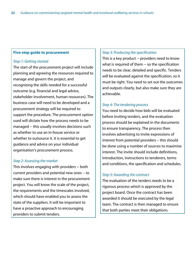### **Five-step guide to procurement**

## *Step 1: Getting started*

The start of the procurement project will include planning and agreeing the resources required to manage and govern the project, and recognising the skills needed for a successful outcome (e.g. financial and legal advice, stakeholder involvement, human resources). The business case will need to be developed and a procurement strategy will be required to support the procedure. The procurement option used will dictate how the process needs to be managed – this usually involves decisions such as whether to use an in-house service or whether to outsource it. It is essential to get guidance and advice on your individual organisation's procurement process.

## *Step 2: Assessing the market*

This involves engaging with providers − both current providers and potential new ones − to make sure there is interest in the procurement project. You will know the scale of the project, the requirements and the timescales involved, which should have enabled you to assess the state of the suppliers. It will be important to have a proactive approach to encouraging providers to submit tenders.

### *Step 3: Producing the specification*

This is a key product − providers need to know what is required of them – so the specification needs to be clear, detailed and specific. Tenders will be evaluated against the specification, so it must be right. You need to set out the outcomes and outputs clearly, but also make sure they are achievable.

## *Step 4: The tendering process*

You need to decide how bids will be evaluated before inviting tenders, and the evaluation process should be explained in the documents to ensure transparency. The process then involves advertising to invite expressions of interest from potential providers – this should be done using a number of sources to maximise interest. The invite should include definitions, introduction, instructions to tenderers, terms and conditions, the specification and schedules.

## *Step 5: Awarding the contract*

The evaluation of the tenders needs to be a rigorous process which is approved by the project board. Once the contract has been awarded it should be executed by the legal team. The contract is then managed to ensure that both parties meet their obligations.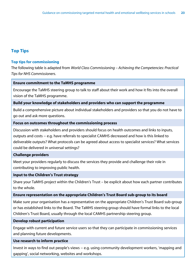## **Top Tips**

## **Top tips for commissioning**

The following table is adapted from *World Class Commissioning – Achieving the Competencies: Practical Tips for NHS Commissioners*.

## **Ensure commitment to the TaMHS programme**

Encourage the TaMHS steering group to talk to staff about their work and how it fits into the overall vision of the TaMHS programme.

## **Build your knowledge of stakeholders and providers who can support the programme**

Build a comprehensive picture about individual stakeholders and providers so that you do not have to go out and ask more questions.

## **Focus on outcomes throughout the commissioning process**

Discussion with stakeholders and providers should focus on health outcomes and links to inputs, outputs and costs − e.g. have referrals to specialist CAMHS decreased and how is this linked to deliverable outputs? What protocols can be agreed about access to specialist services? What services could be delivered in universal settings?

## **Challenge providers**

Meet your providers regularly to discuss the services they provide and challenge their role in contributing to improving public health.

## **Input to the Children's Trust strategy**

Share your TaMHS project within the Children's Trust – be explicit about how each partner contributes to the whole.

## **Ensure representation on the appropriate Children's Trust Board sub-group to its board**

Make sure your organisation has a representative on the appropriate Children's Trust Board sub-group or has established links to the Board. The TaMHS steering group should have formal links to the local Children's Trust Board, usually through the local CAMHS partnership steering group.

## **Develop robust participation**

Engage with current and future service users so that they can participate in commissioning services and planning future developments.

## **Use research to inform practice**

Invest in ways to find out people's views − e.g. using community development workers, 'mapping and gapping', social networking, websites and workshops.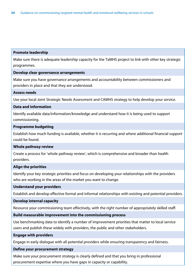### **Promote leadership**

Make sure there is adequate leadership capacity for the TaMHS project to link with other key strategic programmes.

## **Develop clear governance arrangements**

Make sure you have governance arrangements and accountability between commissioners and providers in place and that they are understood.

## **Assess needs**

Use your local Joint Strategic Needs Assessment and CAMHS strategy to help develop your service.

## **Data and information**

Identify available data/information/knowledge and understand how it is being used to support commissioning.

#### **Programme budgeting**

Establish how much funding is available, whether it is recurring and where additional financial support could be found.

## **Whole pathway review**

Create a process for 'whole pathway review', which is comprehensive and broader than health providers.

## **Align the priorities**

Identify your key strategic priorities and focus on developing your relationships with the providers who are working in the areas of the market you want to change.

## **Understand your providers**

Establish and develop effective formal and informal relationships with existing and potential providers.

## **Develop internal capacity**

Resource your commissioning team effectively, with the right number of appropriately skilled staff.

## **Build measurable improvement into the commissioning process**

Use benchmarking data to identify a number of improvement priorities that matter to local service users and publish these widely with providers, the public and other stakeholders.

#### **Engage with providers**

Engage in early dialogue with all potential providers while ensuring transparency and fairness.

## **Define your procurement strategy**

Make sure your procurement strategy is clearly defined and that you bring in professional procurement expertise where you have gaps in capacity or capability.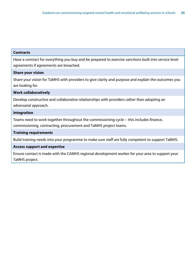## **Contracts**

Have a contract for everything you buy and be prepared to exercise sanctions built into service level agreements if agreements are breached.

## **Share your vision**

Share your vision for TaMHS with providers to give clarity and purpose and explain the outcomes you are looking for.

## **Work collaboratively**

Develop constructive and collaborative relationships with providers rather than adopting an adversarial approach.

## **Integration**

Teams need to work together throughout the commissioning cycle – this includes finance, commissioning, contracting, procurement and TaMHS project teams.

## **Training requirements**

Build training needs into your programme to make sure staff are fully competent to support TaMHS.

## **Access support and expertise**

Ensure contact is made with the CAMHS regional development worker for your area to support your TaMHS project.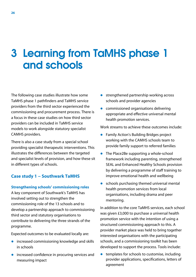## 3 Learning from TaMHS phase 1 and schools

The following case studies illustrate how some TaMHS phase 1 pathfinders and TaMHS service providers from the third sector experienced the commissioning and procurement process. There is a focus in these case studies on how third sector providers can be included in TaMHS service models to work alongside statutory specialist CAMHS providers.

There is also a case study from a special school providing specialist therapeutic interventions. This illustrates the differences between the targeted and specialist levels of provision, and how these sit in different types of schools.

## **Case study 1 − Southwark TaMHS**

## **Strengthening schools' commissioning roles**

A key component of Southwark's TaMHS has involved setting out to strengthen the commissioning role of the 13 schools and to develop a partnership approach to commissioning third sector and statutory organisations to contribute to delivering the three strands of the programme.

Expected outcomes to be evaluated locally are:

- $\bullet$  increased commissioning knowledge and skills in schools
- $\bullet$  increased confidence in procuring services and measuring impact
- $\bullet$  strengthened partnership working across schools and provider agencies
- $\bullet$  commissioned organisations delivering appropriate and effective universal mental health promotion services.

Work streams to achieve these outcomes include:

- **•** Family Action's Building Bridges project working with the CAMHS schools team to provide family support to referred families
- $\bullet$  The Place2Be supporting a whole-school framework including parenting, strengthened SEAL and Enhanced Healthy Schools provision by delivering a programme of staff training to improve emotional health and wellbeing
- $\bullet$  schools purchasing themed universal mental health promotion services from local organisations, including drama and peer mentoring.

In addition to the core TaMHS services, each school was given £3,000 to purchase a universal health promotion service with the intention of using a structured commissioning approach to this. A provider market place was held to bring together interested organisations with the participating schools, and a commissioning toolkit has been developed to support the process. Tools include:

 $\bullet$  templates for schools to customise, including provider applications, specifications, letters of agreement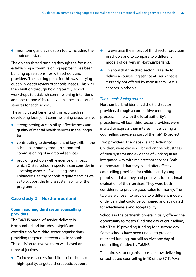$\bullet$  monitoring and evaluation tools, including the 'outcome star'.

The golden thread running through the focus on establishing a commissioning approach has been building up relationships with schools and providers. The starting point for this was carrying out an in-depth review of schools' needs. This was then built on through holding termly school workshops to establish commissioning intentions and one-to-one visits to develop a bespoke set of services for each school.

The anticipated benefits of this approach in developing local joint commissioning capacity are:

- strengthening accessibility, effectiveness and quality of mental health services in the longer term
- $\bullet$  contributing to development of key skills in the school community through supported commissioning of additional services
- $\bullet$  providing schools with evidence of impact which Ofsted school inspectors can consider in assessing aspects of wellbeing and the Enhanced Healthy Schools requirements as well as to support the future sustainability of the programme.

## **Case study 2 − Northumberland**

## **Commissioning third sector counselling providers**

The TaMHS model of service delivery in Northumberland includes a significant contribution from third sector organisations providing targeted interventions in schools. The decision to involve them was based on three objectives:

 $\bullet$  To increase access for children in schools to high-quality, targeted therapeutic support.

- $\bullet$  To evaluate the impact of third sector provision in schools and to compare two different models of delivery in Northumberland.
- $\bullet$  To show that the third sector was able to deliver a counselling service at Tier 2 that is currently not offered by mainstream CAMH services in schools.

## *The commissioning process*

Northumberland identified the third sector providers through a competitive tendering process, in line with the local authority's procedures. All local third sector providers were invited to express their interest in delivering a counselling service as part of the TaMHS project.

Two providers, The Place2Be and Action for Children, were chosen − based on the robustness of their systems and evidence of working in an integrated way with mainstream services. Both demonstrated that they could offer effective counselling provision for children and young people, and that they had processes for continual evaluation of their services. They were both considered to provide good value for money. The two were chosen to provide two different models of delivery that could be compared and evaluated for effectiveness and acceptability.

Schools in the partnership were initially offered the opportunity to match-fund one day of counselling, with TaMHS providing funding for a second day. Some schools have been unable to provide matched funding, but still receive one day of counselling funded by TaMHS.

The third sector organisations are now delivering school-based counselling in 10 of the 37 TaMHS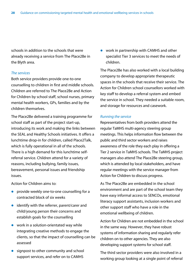schools in addition to the schools that were already receiving a service from The Place2Be in the Blyth area.

#### *The services*

Both service providers provide one-to-one counselling to children in first and middle schools. Children are referred to The Place2Be and Action for Children by school staff, school nurses, primary mental health workers, GPs, families and by the children themselves.

The Place2Be delivered a training programme for school staff as part of the project start-up, introducing its work and making the links between the SEAL and Healthy Schools initiatives. It offers a lunchtime drop-in for children, called Place2Talk, which is fully operational in all of the schools. There is a high demand for this lunchtime selfreferral service. Children attend for a variety of reasons, including bullying, family issues, bereavement, personal issues and friendship issues.

Action for Children aims to:

- $\bullet$  provide weekly one-to-one counselling for a contracted block of six weeks
- $\bullet$  identify with the referrer, parent/carer and child/young person their concerns and establish goals for the counselling
- $\bullet$  work in a solution-orientated way while integrating creative methods to engage the clients, so that the impact of counselling can be assessed
- $\bullet$  signpost to other community and school support services, and refer on to CAMHS

• work in partnership with CAMHS and other specialist Tier 3 services to meet the needs of children.

The Place2Be has also worked with a local building company to develop appropriate therapeutic spaces in the schools that receive their service. The Action for Children school counsellors worked with key staff to develop a referral system and embed the service in school. They needed a suitable room, and storage for resources and casework.

#### *Running the service*

Representatives from both providers attend the regular TaMHS multi-agency steering group meetings. This helps information flow between the public and third sector workers and raises awareness of the role they each play in offering a Tier 2 service in TaMHS schools. The TaMHS project managers also attend The Place2Be steering group, which is attended by local stakeholders, and have regular meetings with the service manager from Action for Children to discuss progress.

As The Place2Be are embedded in the school environment and are part of the school team they have easy informal access to SENCOs, emotional literacy support assistants, inclusion workers and other support staff who have a role in the emotional wellbeing of children.

Action for Children are not embedded in the school in the same way. However, they have robust systems of information sharing and regularly refer children on to other agencies. They are also developing support systems for school staff.

The third sector providers were also involved in a working group looking at a single point of referral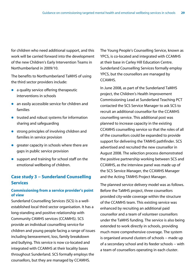for children who need additional support, and this work will be carried forward into the development of the new Children's Early Intervention Teams in Northumberland in 2009/10.

The benefits to Northumberland TaMHS of using the third sector providers include:

- $\bullet$  a quality service offering therapeutic interventions in schools
- $\bullet$  an easily accessible service for children and families
- $\bullet$  trusted and robust systems for information sharing and safeguarding
- $\bullet$  strong principles of involving children and families in service provision
- $\bullet$  greater capacity in schools where there are gaps in public service provision
- $\bullet$  support and training for school staff on the emotional wellbeing of children.

## **Case study 3 − Sunderland Counselling Services**

## **Commissioning from a service provider's point of view**

Sunderland Counselling Services (SCS) is a wellestablished local third sector organisation. It has a long-standing and positive relationship with Community CAMHS services (CCAMHS). SCS provide an individual counselling service for children and young people facing a range of issues including bereavement, loss, family breakdown and bullying. This service is now co-located and integrated with CCAMHS at their locality bases throughout Sunderland. SCS formally employs the counsellors, but they are managed by CCAMHS.

The Young People's Counselling Service, known as YPCS, is co-located and integrated with CCAMHS at their base in Carley Hill Education Centre. Sunderland Counselling Services formally employ YPCS, but the counsellors are managed by CCAMHS.

In June 2008, as part of the Sunderland TaMHS project, the Children's Health Improvement Commissioning Lead at Sunderland Teaching PCT contacted the SCS Service Manager to ask SCS to recruit an additional counsellor for the CCAMHS counselling service. This additional post was planned to increase capacity in the existing CCAMHS counselling service so that the roles of all of the counsellors could be expanded to provide support for delivering the TAMHS pathfinder. SCS advertised and recruited the new counsellor in August 2008. The selection process demonstrated the positive partnership working between SCS and CCAMHS, as the interview panel was made up of the SCS Service Manager, the CCAMHS Manager and the Acting TAMHS Project Manager.

The planned service delivery model was as follows. Before the TaMHS project, three counsellors provided city-wide coverage within the structure of the CCAMHS team. This existing service was enhanced by recruiting an additional paid counsellor and a team of volunteer counsellors under the TaMHS funding. The service is also being extended to work directly in schools, providing much more comprehensive coverage. The system is organised around clusters of schools – made up of a secondary school and its feeder schools − with a team of counsellors operating in each cluster.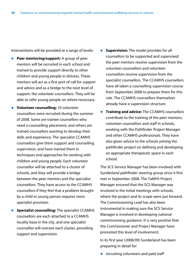Interventions will be provided at a range of levels:

- **Peer mentoring/support:** A group of peer mentors will be recruited in each school and trained to provide support directly to other children and young people in distress. These mentors will act as a first port of call for support and advice and as a bridge to the next level of support, the volunteer counsellors. They will be able to refer young people on where necessary.
- **Volunteer counselling:** 10 volunteer counsellors were recruited during the summer of 2008. Some are trainee counsellors who need a counselling placement, and others are trained counsellors wanting to develop their skills and experience. The specialist CCAMHS counsellors give them support and counselling supervision, and have trained them in techniques and approaches for working with children and young people. Each volunteer counsellor will be attached to a cluster of schools, and they will provide a bridge between the peer mentors and the specialist counsellors. They have access to the CCAMHS counsellors if they feel that a problem brought by a child or young person requires more specialist provision.
- **Specialist counselling:** The specialist CCAMHS counsellors are each attached to a CCAMHS locality base in the city, and one specialist counsellor will oversee each cluster, providing support and supervision.
- **Supervision:** The model provides for all counsellors to be supported and supervised; the peer mentors receive supervision from the volunteer counsellors and volunteer counsellors receive supervision from the specialist counsellors. The CCAMHS counsellors have all taken a counselling supervision course from September 2008 to prepare them for this role. The CCAMHS counsellors themselves already have a supervision structure.
- **Training and advice:** The CCAMHS counsellors contribute to the training of the peer mentors, volunteer counsellors and staff in schools, working with the Pathfinder Project Manager and other CCAMHS professionals. They have also given advice to the schools joining the pathfinder project on defining and developing an appropriate therapeutic space in each school.

The SCS Service Manager has been involved with Sunderland pathfinder steering group since it first met in September 2008. The TaMHS Project Manager ensured that the SCS Manager was involved in the initial meetings with schools, where the project and its scope were put forward. The Commissioning Lead has also been instrumental in making sure the SCS Service Manager is involved in developing national commissioning guidance. It is very positive that the Commissioner and Project Manager have promoted this level of involvement.

In its first year (2008/09) Sunderland has been preparing in detail for:

 $\bullet$  recruiting volunteers and paid staff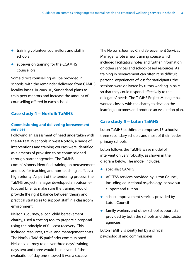- $\bullet$  training volunteer counsellors and staff in schools
- $\bullet$  supervision training for the CCAMHS counsellors.

Some direct counselling will be provided in schools, with the remainder delivered from CAMHS locality bases. In 2009-10, Sunderland plans to train peer mentors and increase the amount of counselling offered in each school.

## **Case study 4 − Norfolk TaMHS**

## **Commissioning and delivering bereavement services**

Following an assessment of need undertaken with the 44 TaMHS schools in west Norfolk, a range of interventions and training courses were identified as elements of provision to be commissioned through partner agencies. The TaMHS commissioners identified training on bereavement and loss, for teaching and non-teaching staff, as a high priority. As part of the tendering process, the TaMHS project manager developed an outcomefocused brief to make sure the training would provide the right balance between theory and practical strategies to support staff in a classroom environment.

Nelson's Journey, a local child bereavement charity, used a costing tool to prepare a proposal using the principle of full cost recovery. This included resources, travel and management costs. The Norfolk TaMHS pathfinder commissioned Nelson's Journey to deliver three days' training − days two and three would be delivered if the evaluation of day one showed it was a success.

The Nelson's Journey Child Bereavement Services Manager wrote a new training course which included facilitator's notes and further information on other services and school-based resources. As training in bereavement can often raise difficult personal experiences of loss for participants, the sessions were delivered by tutors working in pairs so that they could respond effectively to the delegates' needs. The TaMHS Project Manager has worked closely with the charity to develop the learning outcomes and produce an evaluation plan.

## **Case study 5 − Luton TaMHS**

Luton TaMHS pathfinder comprises 13 schools: three secondary schools and most of their feeder primary schools.

Luton follows the TaMHS wave model of intervention very robustly, as shown in the diagram below. The model includes:

- specialist CAMHS
- ACCESS services provided by Luton Council, including educational psychology, behaviour support and tuition
- $\bullet$  school improvement services provided by Luton Council
- $\bullet$  family workers and other school support staff provided by both the schools and third sector agencies.

Luton TaMHS is jointly led by a clinical psychologist and commissioner.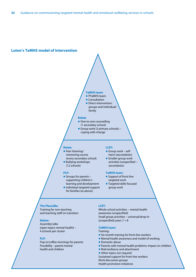#### **Luton's TaMHS model of Intervention**

#### **TaMHS team:**

- **PTaMHS team:**
- Consultation
- **•** Direct intervention: groups and individual/ family

#### **Relate**

- One-to-one counselling (1 secondary school)
- Group work (3 primary schools) coping with change

#### **Relate**

- **Peer listening/** mentoring course
- (every secondary school) ● Bullying workshops
- (12 schools)

#### **PLP:**

- Groups for parents supporting children's learning and development
- Individual targeted support for families (as above)

#### **LCET:**

- Group work selfharm (secondaries)
- **Smaller group work** activities (unspecified − secondaries)

#### **TaMHS team:**

- **•** Support of front-line targeted work
- **Targeted skills-focused** group work

#### **The Place2Be:**

Training for non-teaching and teaching staff on transition

#### **Relate:**

Assembly talks (open topics mental health) – 4 schools per cluster

#### **PLP:**

Pop-in/coffee mornings for parents Possibility – parent mental health and children

#### **LCET:**

Whole-school activities − mental health awareness (unspecified) Small group activities − universal/drop-in (unspecified) years  $7 + 8$ 

#### **TaMHS team:**

#### Training:

- **Six-month training for front-line workers**
- Mental health awareness and model of working
- Domestic abuse
- Parents with mental health problems: impact on children
- Risk/resilience and attachment
- Other topics (on request)
- Sustained support for front-line workers Work discussion groups
- 
- Health promotion initiatives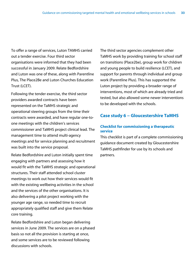To offer a range of services, Luton TAMHS carried out a tender exercise. Four third sector organisations were informed that they had been successful in January 2009. Relate Bedfordshire and Luton was one of these, along with Parentline Plus, The Place2Be and Luton Churches Education Trust (LCET).

Following the tender exercise, the third sector providers awarded contracts have been represented on the TaMHS strategic and operational steering groups from the time their contracts were awarded, and have regular one-toone meetings with the children's services commissioner and TaMHS project clinical lead. The management time to attend multi-agency meetings and for service planning and recruitment was built into the service proposal.

Relate Bedfordshire and Luton initially spent time engaging with partners and assessing how it would fit with the TaMHS strategic and operational structures. Their staff attended school cluster meetings to work out how their services would fit with the existing wellbeing activities in the school and the services of the other organisations. It is also delivering a pilot project working with the younger age range, so needed time to recruit appropriately qualified staff and give them Relate core training.

Relate Bedfordshire and Luton began delivering services in June 2009. The services are on a phased basis so not all the provision is starting at once, and some services are to be reviewed following discussions with schools.

The third sector agencies complement other TaMHS work by providing training for school staff on transitions (Place2be), group work for children and young people to build resilience (LCET), and support for parents through individual and group work (Parentline Plus). This has supported the Luton project by providing a broader range of interventions, most of which are already tried and tested, but also allowed some newer interventions to be developed with the schools.

## **Case study 6 − Gloucestershire TaMHS**

## **Checklist for commissioning a therapeutic service**

This checklist is part of a complete commissioning guidance document created by Gloucestershire TaMHS pathfinder for use by its schools and partners.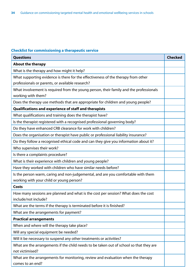## **Checklist for commissioning a therapeutic service**

| <b>Questions</b>                                                                                             | <b>Checked</b> |
|--------------------------------------------------------------------------------------------------------------|----------------|
| <b>About the therapy</b>                                                                                     |                |
| What is the therapy and how might it help?                                                                   |                |
| What supporting evidence is there for the effectiveness of the therapy from other                            |                |
| professionals or parents, or available research?                                                             |                |
| What involvement is required from the young person, their family and the professionals<br>working with them? |                |
| Does the therapy use methods that are appropriate for children and young people?                             |                |
| Qualifications and experience of staff and therapists                                                        |                |
| What qualifications and training does the therapist have?                                                    |                |
| Is the therapist registered with a recognised professional governing body?                                   |                |
| Do they have enhanced CRB clearance for work with children?                                                  |                |
| Does the organisation or therapist have public or professional liability insurance?                          |                |
| Do they follow a recognised ethical code and can they give you information about it?                         |                |
| Who supervises their work?                                                                                   |                |
| Is there a complaints procedure?                                                                             |                |
| What is their experience with children and young people?                                                     |                |
| Have they worked with children who have similar needs before?                                                |                |
| Is the person warm, caring and non-judgemental, and are you comfortable with them                            |                |
| working with your child or young person?                                                                     |                |
| Costs                                                                                                        |                |
| How many sessions are planned and what is the cost per session? What does the cost<br>include/not include?   |                |
| What are the terms if the therapy is terminated before it is finished?                                       |                |
| What are the arrangements for payment?                                                                       |                |
| <b>Practical arrangements</b>                                                                                |                |
| When and where will the therapy take place?                                                                  |                |
| Will any special equipment be needed?                                                                        |                |
| Will it be necessary to suspend any other treatments or activities?                                          |                |
| What are the arrangements if the child needs to be taken out of school so that they are<br>not victimised?   |                |
| What are the arrangements for monitoring, review and evaluation when the therapy<br>comes to an end?         |                |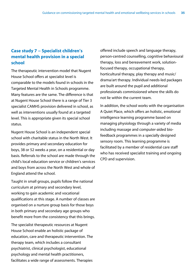## **Case study 7 − Specialist children's mental health provision in a special school**

The therapeutic intervention model that Nugent House School offers at specialist level is comparable to the models found in schools in the Targeted Mental Health in Schools programme. Many features are the same. The difference is that at Nugent House School there is a range of Tier 3 specialist CAMHS provision delivered in school, as well as interventions usually found at a targeted level. This is appropriate given its special school status.

Nugent House School is an independent special school with charitable status in the North West. It provides primary and secondary education for boys, 38 or 52 weeks a year, on a residential or day basis. Referrals to the school are made through the child's local education service or children's services and boys from across the North West and whole of England attend the school.

Taught in small groups, pupils follow the national curriculum at primary and secondary level, working to gain academic and vocational qualifications at this stage. A number of classes are organised on a nurture group basis for those boys in both primary and secondary age groups who benefit more from the consistency that this brings.

The specialist therapeutic resources at Nugent House School enable an holistic package of education, care and therapeutic intervention. The therapy team, which includes a consultant psychiatrist, clinical psychologist, educational psychology and mental health practitioners, facilitates a wide range of assessments. Therapies

offered include speech and language therapy, person-centred counselling, cognitive behavioural therapy, loss and bereavement work, solutionfocused therapy, occupational therapy, horticultural therapy, play therapy and music/ drama/art therapy. Individual needs-led packages are built around the pupil and additional professionals commissioned where the skills do not lie within the current team.

In addition, the school works with the organisation A Quiet Place, which offers an holistic, emotional intelligence learning programme based on managing physiology through a variety of media including massage and computer-aided biofeedback programmes in a specially designed sensory room. This learning programme is facilitated by a member of residential care staff who has received specialist training and ongoing CPD and supervision.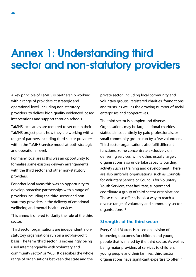## Annex 1: Understanding third sector and non-statutory providers

A key principle of TaMHS is partnership working with a range of providers at strategic and operational level, including non-statutory providers, to deliver high-quality evidenced-based interventions and support through schools.

TaMHS local areas are required to set out in their TaMHS project plans how they are working with a range of partners including third sector providers within the TaMHS service model at both strategic and operational level.

For many local areas this was an opportunity to formalise some existing delivery arrangements with the third sector and other non-statutory providers.

For other local areas this was an opportunity to develop proactive partnerships with a range of providers including the third sector and nonstatutory providers in the delivery of emotional wellbeing and mental health services.

This annex is offered to clarify the role of the third sector.

Third sector organisations are independent, nonstatutory organisations run on a not-for-profit basis. The term 'third sector' is increasingly being used interchangeably with 'voluntary and community sector' or 'VCS'. It describes the whole range of organisations between the state and the

private sector, including local community and voluntary groups, registered charities, foundations and trusts, as well as the growing number of social enterprises and cooperatives.

The third sector is complex and diverse. Organisations may be large national charities staffed almost entirely by paid professionals, or small community groups run by a few volunteers. Third sector organisations also fulfil different functions. Some concentrate exclusively on delivering services, while other, usually larger, organisations also undertake capacity building activity such as training and development. There are also umbrella organisations, such as Councils for Voluntary Service or Councils for Voluntary Youth Services, that facilitate, support and coordinate a group of third sector organisations. These can also offer schools a way to reach a diverse range of voluntary and community sector organisations.11

## **Strengths of the third sector**

Every Child Matters is based on a vision of improving outcomes for children and young people that is shared by the third sector. As well as being major providers of services to children, young people and their families, third sector organisations have significant expertise to offer in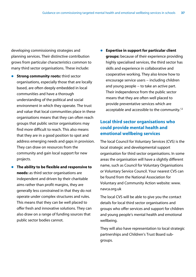developing commissioning strategies and planning services. Their distinctive contribution grows from particular characteristics common to many third sector organisations. These include:

- **Strong community roots:** third sector organisations, especially those that are locally based, are often deeply embedded in local communities and have a thorough understanding of the political and social environment in which they operate. The trust and value that local communities place in these organisations means that they can often reach groups that public sector organisations may find more difficult to reach. This also means that they are in a good position to spot and address emerging needs and gaps in provision. They can draw on resources from the community and gain local support for new projects.
- z **The ability to be flexible and responsive to needs:** as third sector organisations are independent and driven by their charitable aims rather than profit margins, they are generally less constrained in that they do not operate under complex structures and rules. This means that they can be well placed to offer fresh and innovative solutions. They can also draw on a range of funding sources that public sector bodies cannot.

z **Expertise in support for particular client groups:** because of their experience providing highly specialised services, the third sector has skills and experience in collaborative and cooperative working. They also know how to encourage service users – including children and young people – to take an active part. Their independence from the public sector means that they are often well placed to provide preventative services which are acceptable and accessible to the community.<sup>12</sup>

## **Local third sector organisations who could provide mental health and emotional wellbeing services**

The local Council for Voluntary Services (CVS) is the local strategic and developmental support organisation for third sector organisations. In some areas the organisation will have a slightly different name, such as Council for Voluntary Organisations or Voluntary Service Council. Your nearest CVS can be found from the National Association for Voluntary and Community Action website: www. navca.org.uk

The local CVS will be able to give you the contact details for local third sector organisations and groups who offer services and support for children and young people's mental health and emotional wellbeing.

They will also have representation to local strategic partnerships and Children's Trust Board subgroups.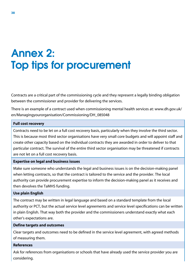## Annex 2: Top tips for procurement

Contracts are a critical part of the commissioning cycle and they represent a legally binding obligation between the commissioner and provider for delivering the services.

There is an example of a contract used when commissioning mental health services at: www.dh.gov.uk/ en/Managingyourorganisation/Commissioning/DH\_085048

## **Full cost recovery**

Contracts need to be let on a full cost recovery basis, particularly when they involve the third sector. This is because most third sector organisations have very small core budgets and will appoint staff and create other capacity based on the individual contracts they are awarded in order to deliver to that particular contract. The survival of the entire third sector organisation may be threatened if contracts are not let on a full cost recovery basis.

## **Expertise on legal and business issues**

Make sure someone who understands the legal and business issues is on the decision-making panel when letting contracts, so that the contract is tailored to the service and the provider. The local authority can provide procurement expertise to inform the decision-making panel as it receives and then devolves the TaMHS funding.

## **Use plain English**

The contract may be written in legal language and based on a standard template from the local authority or PCT, but the actual service level agreements and service level specifications can be written in plain English. That way both the provider and the commissioners understand exactly what each other's expectations are.

## **Define targets and outcomes**

Clear targets and outcomes need to be defined in the service level agreement, with agreed methods of measuring them.

## **References**

Ask for references from organisations or schools that have already used the service provider you are considering.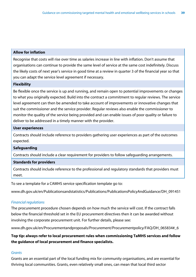## **Allow for inflation**

Recognise that costs will rise over time as salaries increase in line with inflation. Don't assume that organisations can continue to provide the same level of service at the same cost indefinitely. Discuss the likely costs of next year's service in good time at a review in quarter 3 of the financial year so that you can adapt the service level agreement if necessary.

## **Flexibility**

Be flexible once the service is up and running, and remain open to potential improvements or changes to what you originally expected. Build into the contract a commitment to regular reviews. The service level agreement can then be amended to take account of improvements or innovative changes that suit the commissioner and the service provider. Regular reviews also enable the commissioner to monitor the quality of the service being provided and can enable issues of poor quality or failure to deliver to be addressed in a timely manner with the provider.

## **User experiences**

Contracts should include reference to providers gathering user experiences as part of the outcomes expected.

## **Safeguarding**

Contracts should include a clear requirement for providers to follow safeguarding arrangements.

## **Standards for providers**

Contracts should include reference to the professional and regulatory standards that providers must meet.

To see a template for a CAMHS service specification template go to:

www.dh.gov.uk/en/Publicationsandstatistics/Publications/PublicationsPolicyAndGuidance/DH\_091451

## *Financial regulations*

The procurement procedure chosen depends on how much the service will cost. If the contract falls below the financial threshold set in the EU procurement directives then it can be awarded without involving the corporate procurement unit. For further details, please see:

www.dh.gov.uk/en/Procurementandproposals/Procurement/Procurementpolicy/FAQ/DH\_065834#\_6

## **Top tip: always refer to local procurement rules when commissioning TaMHS services and follow the guidance of local procurement and finance specialists.**

## *Grants*

Grants are an essential part of the local funding mix for community organisations, and are essential for thriving local communities. Grants, even relatively small ones, can mean that local third sector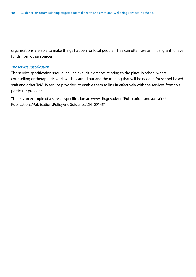organisations are able to make things happen for local people. They can often use an initial grant to lever funds from other sources.

## *The service specification*

The service specification should include explicit elements relating to the place in school where counselling or therapeutic work will be carried out and the training that will be needed for school-based staff and other TaMHS service providers to enable them to link in effectively with the services from this particular provider.

There is an example of a service specification at: www.dh.gov.uk/en/Publicationsandstatistics/ Publications/PublicationsPolicyAndGuidance/DH\_091451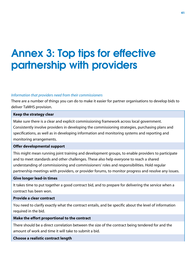## Annex 3: Top tips for effective partnership with providers

## *Information that providers need from their commissioners*

There are a number of things you can do to make it easier for partner organisations to develop bids to deliver TaMHS provision.

#### **Keep the strategy clear**

Make sure there is a clear and explicit commissioning framework across local government. Consistently involve providers in developing the commissioning strategies, purchasing plans and specifications, as well as in developing information and monitoring systems and reporting and monitoring arrangements.

## **Offer developmental support**

This might mean running joint training and development groups, to enable providers to participate and to meet standards and other challenges. These also help everyone to reach a shared understanding of commissioning and commissioners' roles and responsibilities. Hold regular partnership meetings with providers, or provider forums, to monitor progress and resolve any issues.

#### **Give longer lead-in times**

It takes time to put together a good contract bid, and to prepare for delivering the service when a contract has been won.

#### **Provide a clear contract**

You need to clarify exactly what the contract entails, and be specific about the level of information required in the bid.

## **Make the effort proportional to the contract**

There should be a direct correlation between the size of the contract being tendered for and the amount of work and time it will take to submit a bid.

## **Choose a realistic contract length**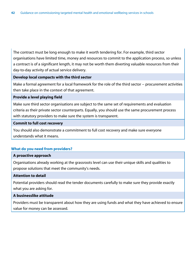The contract must be long enough to make it worth tendering for. For example, third sector organisations have limited time, money and resources to commit to the application process, so unless a contract is of a significant length, it may not be worth them diverting valuable resources from their day-to-day activity of actual service delivery.

## **Develop local compacts with the third sector**

Make a formal agreement for a local framework for the role of the third sector – procurement activities then take place in the context of that agreement.

## **Provide a level playing field**

Make sure third sector organisations are subject to the same set of requirements and evaluation criteria as their private sector counterparts. Equally, you should use the same procurement process with statutory providers to make sure the system is transparent.

## **Commit to full cost recovery**

You should also demonstrate a commitment to full cost recovery and make sure everyone understands what it means.

## **What do you need from providers?**

## **A proactive approach**

Organisations already working at the grassroots level can use their unique skills and qualities to propose solutions that meet the community's needs.

## **Attention to detail**

Potential providers should read the tender documents carefully to make sure they provide exactly what you are asking for.

## **A businesslike attitude**

Providers must be transparent about how they are using funds and what they have achieved to ensure value for money can be assessed.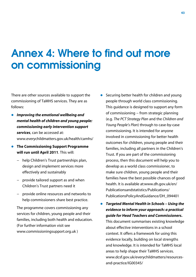## Annex 4: Where to find out more on commissioning

There are other sources available to support the commissioning of TaMHS services. They are as follows:

- **•** Improving the emotional wellbeing and *mental health of children and young people: commissioning early intervention support services*, can be accessed at: www.everychildmatters.gov.uk/health/camhs/
- z **The Commissioning Support Programme will run until April 2011**. This will:
	- − help Children's Trust partnerships plan, design and implement services more effectively and sustainably
	- − provide tailored support as and when Children's Trust partners need it
	- − provide online resources and networks to help commissioners share best practice.

The programme covers commissioning any services for children, young people and their families, including both health and education. (For further information visit see www.commissioningsupport.org.uk )

Securing better health for children and young people through world class commissioning. This guidance is designed to support any form of commissioning − from strategic planning (e.g. *The PCT Strategy Plan* and the *Children and Young People's Plan*) through to case-by-case commissioning. It is intended for anyone involved in commissioning for better health outcomes for children, young people and their families, including all partners in the Children's Trust. If you are part of the commissioning process, then this document will help you to develop as a world class commissioner, to make sure children, young people and their families have the best possible chances of good health. It is available at:www.dh.gov.uk/en/ Publicationsandstatistics/Publications/ PublicationsPolicyAndGuidance/DH\_094401

z *Targeted Mental Health in Schools – Using the evidence to inform your approach: a practical guide for Head Teachers and Commissioners***.** This document summarises existing knowledge about effective interventions in a school context. It offers a framework for using this evidence locally, building on local strengths and knowledge. It is intended for TaMHS local areas to help shape their TaMHS services. www.dcsf.gov.uk/everychildmatters/resourcesand-practice/IG00345/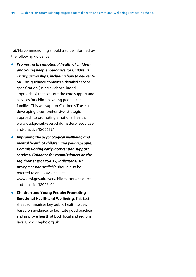TaMHS commissioning should also be informed by the following guidance

- **•** Promoting the emotional health of children *and young people: Guidance for Children's Trust partnerships, including how to deliver NI 50***.** This guidance contains a detailed service specification (using evidence-based approaches) that sets out the core support and services for children, young people and families. This will support Children's Trusts in developing a comprehensive, strategic approach to promoting emotional health. www.dcsf.gov.uk/everychildmatters/resourcesand-practice/IG00639/
- z *Improving the psychological wellbeing and mental health of children and young people: Commissioning early intervention support services. Guidance for commissioners on the requirements of PSA 12, indicator 4, 4th proxy measure available* should also be referred to and is available at www.dcsf.gov.uk/everychildmatters/resourcesand-practice/IG00640/
- z **Children and Young People: Promoting Emotional Health and Wellbeing**. This fact sheet summarises key public health issues, based on evidence, to facilitate good practice and improve health at both local and regional levels. www.sepho.org.uk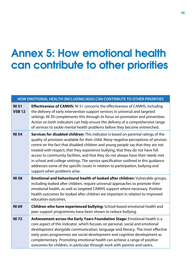## Annex 5: How emotional health can contribute to other priorities

## **HOW EMOTIONAL HEALTH (INCLUDING NI50) CAN CONTRIBUTE TO OTHER PRIORITIES**

| <b>NI 51</b><br><b>VSB 12</b> | <b>Effectiveness of CAMHS:</b> NI 51 concerns the effectiveness of CAMHS, including<br>the delivery of early intervention support services in universal and targeted<br>settings. NI 50 complements this through its focus on promotion and prevention.<br>Action on both indicators can help ensure the delivery of a comprehensive range<br>of services to tackle mental health problems before they become entrenched.                                                                                                                                                                                                                         |
|-------------------------------|---------------------------------------------------------------------------------------------------------------------------------------------------------------------------------------------------------------------------------------------------------------------------------------------------------------------------------------------------------------------------------------------------------------------------------------------------------------------------------------------------------------------------------------------------------------------------------------------------------------------------------------------------|
| <b>NI 54</b>                  | Services for disabled children: This indicator is based on parental ratings of the<br>quality of provision available for their child. Many negative perceptions of services<br>centre on the fact that disabled children and young people say that they are not<br>treated with respect, that they experience bullying, that they do not have full<br>access to community facilities, and that they do not always have their needs met<br>in school and college settings. The service specification outlined in this guidance<br>addresses some of the specific issues in relation to participation, bullying and<br>support when problems arise. |
| <b>NI 58</b>                  | Emotional and behavioural health of looked after children: Vulnerable groups,<br>including looked after children, require universal approaches to promote their<br>emotional health, as well as targeted CAMHS support where necessary. Positive<br>health outcomes for looked after children are important in relation to improved<br>education outcomes.                                                                                                                                                                                                                                                                                        |
| <b>NI 69</b>                  | Children who have experienced bullying: School-based emotional health and<br>peer support programmes have been shown to reduce bullying.                                                                                                                                                                                                                                                                                                                                                                                                                                                                                                          |
| <b>NI 72</b>                  | Achievement across the Early Years Foundation Stage: Emotional health is a<br>core aspect of this indicator, which focuses on personal, social and emotional<br>development alongside communication, language and literacy. The most effective<br>early years programmes see social development and cognitive development as<br>complementary. Promoting emotional health can achieve a range of positive<br>outcomes for children, in particular through work with parents and carers.                                                                                                                                                           |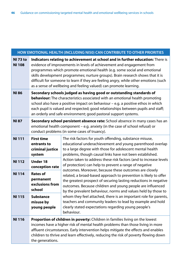| HOW EMOTIONAL HEALTH (INCLUDING NI50) CAN CONTRIBUTE TO OTHER PRIORITIES |                                                                                                                                                                                                                                                                                                                                                                                                                                                                                       |                                                                                                                                                                                                                                                                     |  |  |  |
|--------------------------------------------------------------------------|---------------------------------------------------------------------------------------------------------------------------------------------------------------------------------------------------------------------------------------------------------------------------------------------------------------------------------------------------------------------------------------------------------------------------------------------------------------------------------------|---------------------------------------------------------------------------------------------------------------------------------------------------------------------------------------------------------------------------------------------------------------------|--|--|--|
| <b>NI 73 to</b><br><b>NI 108</b>                                         | Indicators relating to achievement at school and in further education: There is<br>evidence of improvements in levels of achievement and engagement from<br>programmes which promote emotional health (e.g. some social and emotional<br>skills development programmes; nurture groups). Brain research shows that it is<br>difficult for someone to learn if they are feeling angry, while other emotions (such<br>as a sense of wellbeing and feeling valued) can promote learning. |                                                                                                                                                                                                                                                                     |  |  |  |
| <b>NI 86</b>                                                             | Secondary schools judged as having good or outstanding standards of<br><b>behaviour:</b> The characteristics associated with an emotional health promoting<br>school also have a positive impact on behaviour - e.g. a positive ethos in which<br>each pupil is valued and respected; good relationships between pupils and staff;<br>an orderly and safe environment; good pastoral support systems.                                                                                 |                                                                                                                                                                                                                                                                     |  |  |  |
| <b>NI 87</b>                                                             | Secondary school persistent absence rate: School absence in many cases has an<br>emotional health component - e.g. anxiety (in the case of school refusal) or<br>conduct problems (in some cases of truancy).                                                                                                                                                                                                                                                                         |                                                                                                                                                                                                                                                                     |  |  |  |
| <b>NI 111</b>                                                            | <b>First time</b><br>entrants to<br>criminal justice<br>system                                                                                                                                                                                                                                                                                                                                                                                                                        | The risk factors for youth offending, substance misuse,<br>educational underachievement and young parenthood overlap<br>to a large degree with those for adolescent mental health<br>problems, though causal links have not been established.                       |  |  |  |
| <b>NI 112</b>                                                            | <b>Under 18</b><br>conception rate                                                                                                                                                                                                                                                                                                                                                                                                                                                    | Action taken to address these risk factors (and to increase levels<br>of protection) can help to prevent a range of negative<br>outcomes. Moreover, because these outcomes are closely                                                                              |  |  |  |
| <b>NI 114</b>                                                            | <b>Rates of</b><br>permanent<br>exclusions from<br>school                                                                                                                                                                                                                                                                                                                                                                                                                             | related, a broad-based approach to prevention is likely to offer<br>the greatest prospect of securing lasting reductions in negative<br>outcomes. Because children and young people are influenced<br>by the prevalent behaviour, norms and values held by those to |  |  |  |
| NI 115                                                                   | <b>Substance</b><br>misuse by<br>young people                                                                                                                                                                                                                                                                                                                                                                                                                                         | whom they feel attached, there is an important role for parents,<br>teachers and community leaders to lead by example and hold<br>clearly stated expectations regarding young people's<br>behaviour.                                                                |  |  |  |
| <b>NI 116</b>                                                            | <b>Proportion of children in poverty:</b> Children in families living on the lowest<br>incomes have a higher risk of mental health problems than those living in more<br>affluent circumstances. Early intervention helps mitigate the effects and enables<br>children to thrive and learn effectively, reducing the risk of poverty flowing down<br>the generations.                                                                                                                 |                                                                                                                                                                                                                                                                     |  |  |  |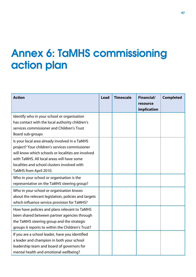## Annex 6: TaMHS commissioning action plan

| <b>Action</b>                                        | <b>Lead</b> | <b>Timescale</b> | <b>Financial/</b><br>resource<br>implication | <b>Completed</b> |
|------------------------------------------------------|-------------|------------------|----------------------------------------------|------------------|
| Identify who in your school or organisation          |             |                  |                                              |                  |
| has contact with the local authority children's      |             |                  |                                              |                  |
| services commissioner and Children's Trust           |             |                  |                                              |                  |
| Board sub-groups                                     |             |                  |                                              |                  |
| Is your local area already involved in a TaMHS       |             |                  |                                              |                  |
| project? Your children's services commissioner       |             |                  |                                              |                  |
| will know which schools or localities are involved   |             |                  |                                              |                  |
| with TaMHS. All local areas will have some           |             |                  |                                              |                  |
| localities and school clusters involved with         |             |                  |                                              |                  |
| TaMHS from April 2010.                               |             |                  |                                              |                  |
| Who in your school or organisation is the            |             |                  |                                              |                  |
| representative on the TaMHS steering group?          |             |                  |                                              |                  |
| Who in your school or organisation knows             |             |                  |                                              |                  |
| about the relevant legislation, policies and targets |             |                  |                                              |                  |
| which influence service provision for TaMHS?         |             |                  |                                              |                  |
| How have policies and plans relevant to TaMHS        |             |                  |                                              |                  |
| been shared between partner agencies through         |             |                  |                                              |                  |
| the TaMHS steering group and the strategic           |             |                  |                                              |                  |
| groups it reports to within the Children's Trust?    |             |                  |                                              |                  |
| If you are a school leader, have you identified      |             |                  |                                              |                  |
| a leader and champion in both your school            |             |                  |                                              |                  |
| leadership team and board of governors for           |             |                  |                                              |                  |
| mental health and emotional wellbeing?               |             |                  |                                              |                  |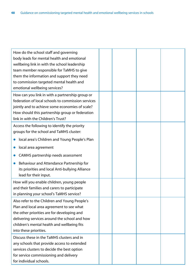| How do the school staff and governing<br>body leads for mental health and emotional<br>wellbeing link in with the school leadership<br>team member responsible for TaMHS to give<br>them the information and support they need<br>to commission targeted mental health and<br>emotional wellbeing services?                      |  |  |  |
|----------------------------------------------------------------------------------------------------------------------------------------------------------------------------------------------------------------------------------------------------------------------------------------------------------------------------------|--|--|--|
| How can you link in with a partnership group or<br>federation of local schools to commission services<br>jointly and to achieve some economies of scale?<br>How should this partnership group or federation<br>link in with the Children's Trust?                                                                                |  |  |  |
| Access the following to identify the priority<br>groups for the school and TaMHS cluster:<br>local area's Children and Young People's Plan<br>local area agreement<br>CAMHS partnership needs assessment<br>Behaviour and Attendance Partnership for<br>its priorities and local Anti-bullying Alliance<br>lead for their input. |  |  |  |
| How will you enable children, young people<br>and their families and carers to participate<br>in planning your school's TaMHS service?                                                                                                                                                                                           |  |  |  |
| Also refer to the Children and Young People's<br>Plan and local area agreement to see what<br>the other priorities are for developing and<br>delivering services around the school and how<br>children's mental health and wellbeing fits<br>into these priorities.                                                              |  |  |  |
| Discuss these in the TaMHS clusters and in<br>any schools that provide access to extended<br>services clusters to decide the best option<br>for service commissioning and delivery<br>for individual schools.                                                                                                                    |  |  |  |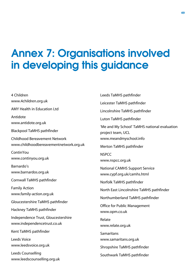## Annex 7: Organisations involved in developing this guidance

4 Children www.4children.org.uk AMY Health in Education Ltd Antidote www.antidote.org.uk Blackpool TaMHS pathfinder Childhood Bereavement Network www.childhoodbereavementnetwork.org.uk **ContinYou** www.continyou.org.uk Barnardo's www.barnardos.org.uk Cornwall TaMHS pathfinder Family Action www.family-action.org.uk Gloucestershire TaMHS pathfinder Hackney TaMHS pathfinder Independence Trust, Gloucestershire www.independencetrust.co.uk Kent TaMHS pathfinder Leeds Voice www.leedsvoice.org.uk Leeds Counselling www.leedscounselling.org.uk

Leeds TaMHS pathfinder Leicester TaMHS pathfinder Lincolnshire TaMHS pathfinder Luton TaMHS pathfinder 'Me and My School' TaMHS national evaluation project team, UCL www.meandmyschool.info Merton TaMHS pathfinder **NSPCC** www.nspcc.org.uk National CAMHS Support Service www.cypf.org.uk/camhs.html Norfolk TaMHS pathfinder North East Lincolnshire TaMHS pathfinder Northumberland TaMHS pathfinder Office for Public Management www.opm.co.uk Relate www.relate.org.uk Samaritans www.samaritans.org.uk Shropshire TaMHS pathfinder Southwark TaMHS pathfinder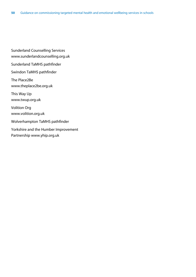Sunderland Counselling Services www.sunderlandcounselling.org.uk Sunderland TaMHS pathfinder Swindon TaMHS pathfinder The Place2Be www.theplace2be.org.uk This Way Up www.twup.org.uk Volition Org www.volition.org.uk Wolverhampton TaMHS pathfinder Yorkshire and the Humber Improvement Partnership www.yhip.org.uk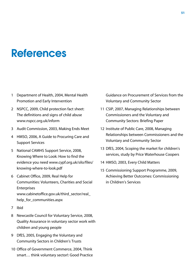## References

- 1 Department of Health, 2004, Mental Health Promotion and Early Intervention
- 2 NSPCC, 2009, Child protection fact sheet: The definitions and signs of child abuse www.nspcc.org.uk/inform
- 3 Audit Commission, 2003, Making Ends Meet
- 4 HMSO, 2006, A Guide to Procuring Care and Support Services
- 5 National CAMHS Support Service, 2008, Knowing Where to Look: How to find the evidence you need www.cypf.org.uk/silo/files/ knowing-where-to-look.pdf
- 6 Cabinet Office, 2009, Real Help for Communities: Volunteers, Charities and Social **Enterprises** www.cabinetoffice.gov.uk/third\_sector/real\_ help for communities.aspx
- 7 Ibid
- 8 Newcastle Council for Voluntary Service, 2008, Quality Assurance in voluntary sector work with children and young people
- 9 DfES, 2005, Engaging the Voluntary and Community Sectors in Children's Trusts
- 10 Office of Government Commerce, 2004, Think smart… think voluntary sector!: Good Practice

Guidance on Procurement of Services from the Voluntary and Community Sector

- 11 CSIP, 2007, Managing Relationships between Commissioners and the Voluntary and Community Sectors: Briefing Paper
- 12 Institute of Public Care, 2008, Managing Relationships between Commissioners and the Voluntary and Community Sector
- 13 DfES, 2004, Scoping the market for children's services, study by Price Waterhouse Coopers
- 14 HMSO, 2003, Every Child Matters
- 15 Commissioning Support Programme, 2009, Achieving Better Outcomes: Commissioning in Children's Services